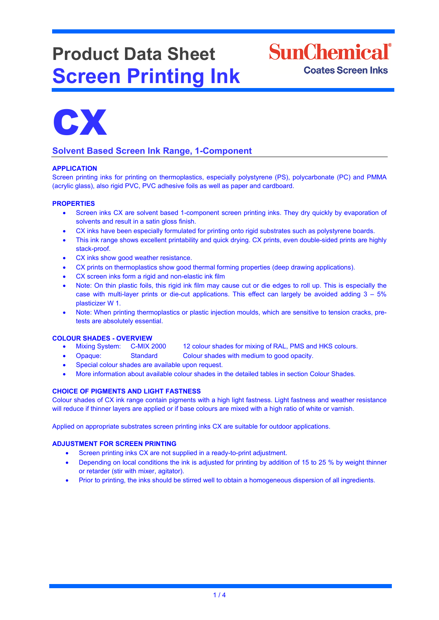# **Product Data Sheet Screen Printing Ink**





# **Solvent Based Screen Ink Range, 1-Component**

# **APPLICATION**

Screen printing inks for printing on thermoplastics, especially polystyrene (PS), polycarbonate (PC) and PMMA (acrylic glass), also rigid PVC, PVC adhesive foils as well as paper and cardboard.

# **PROPERTIES**

- Screen inks CX are solvent based 1-component screen printing inks. They dry quickly by evaporation of solvents and result in a satin gloss finish.
- CX inks have been especially formulated for printing onto rigid substrates such as polystyrene boards.
- This ink range shows excellent printability and quick drying. CX prints, even double-sided prints are highly stack-proof.
- CX inks show good weather resistance.
- CX prints on thermoplastics show good thermal forming properties (deep drawing applications).
- CX screen inks form a rigid and non-elastic ink film
- Note: On thin plastic foils, this rigid ink film may cause cut or die edges to roll up. This is especially the case with multi-layer prints or die-cut applications. This effect can largely be avoided adding 3 – 5% plasticizer W 1.
- Note: When printing thermoplastics or plastic injection moulds, which are sensitive to tension cracks, pretests are absolutely essential.

- **COLOUR SHADES - OVERVIEW** 12 colour shades for mixing of RAL, PMS and HKS colours.
	- Opaque: Standard Colour shades with medium to good opacity.
	- Special colour shades are available upon request.
	- More information about available colour shades in the detailed tables in section Colour Shades.

# **CHOICE OF PIGMENTS AND LIGHT FASTNESS**

Colour shades of CX ink range contain pigments with a high light fastness. Light fastness and weather resistance will reduce if thinner layers are applied or if base colours are mixed with a high ratio of white or varnish.

Applied on appropriate substrates screen printing inks CX are suitable for outdoor applications.

### **ADJUSTMENT FOR SCREEN PRINTING**

- Screen printing inks CX are not supplied in a ready-to-print adjustment.
- Depending on local conditions the ink is adjusted for printing by addition of 15 to 25 % by weight thinner or retarder (stir with mixer, agitator).
- Prior to printing, the inks should be stirred well to obtain a homogeneous dispersion of all ingredients.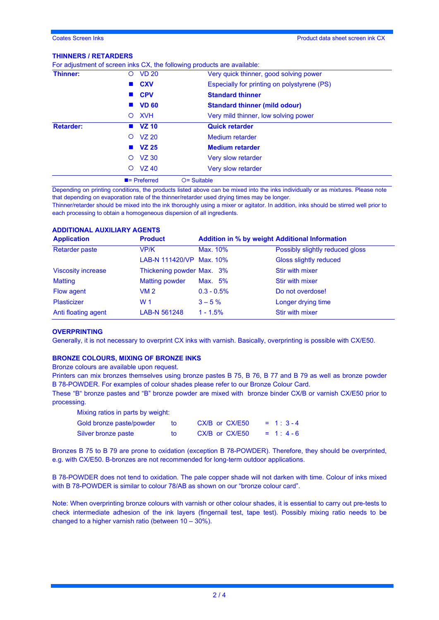#### **THINNERS / RETARDERS**

| VZ 30<br>O<br><b>VZ 40</b><br>$\circ$ | Very slow retarder<br>Very slow retarder                                |  |  |
|---------------------------------------|-------------------------------------------------------------------------|--|--|
|                                       |                                                                         |  |  |
|                                       |                                                                         |  |  |
| <b>VZ 25</b>                          | <b>Medium retarder</b>                                                  |  |  |
| $O$ $VZ$ 20                           | <b>Medium</b> retarder                                                  |  |  |
| $\blacksquare$ VZ 10                  | <b>Quick retarder</b>                                                   |  |  |
| <b>XVH</b><br>$\circ$                 | Very mild thinner, low solving power                                    |  |  |
| <b>VD 60</b>                          | <b>Standard thinner (mild odour)</b>                                    |  |  |
| ■ CPV                                 | <b>Standard thinner</b>                                                 |  |  |
| <b>CXV</b>                            | Especially for printing on polystyrene (PS)                             |  |  |
| O VD 20                               | Very quick thinner, good solving power                                  |  |  |
|                                       | For adjustment of screen inks CX, the following products are available: |  |  |

Depending on printing conditions, the products listed above can be mixed into the inks individually or as mixtures. Please note that depending on evaporation rate of the thinner/retarder used drying times may be longer.

Thinner/retarder should be mixed into the ink thoroughly using a mixer or agitator. In addition, inks should be stirred well prior to each processing to obtain a homogeneous dispersion of all ingredients.

# **ADDITIONAL AUXILIARY AGENTS**

| <b>Application</b>        | <b>Product</b>            | <b>Addition in % by weight Additional Information</b> |                                 |  |  |
|---------------------------|---------------------------|-------------------------------------------------------|---------------------------------|--|--|
| <b>Retarder paste</b>     | VP/K                      | Max. 10%                                              | Possibly slightly reduced gloss |  |  |
|                           | LAB-N 111420/VP Max. 10%  |                                                       | Gloss slightly reduced          |  |  |
| <b>Viscosity increase</b> | Thickening powder Max. 3% |                                                       | <b>Stir with mixer</b>          |  |  |
| <b>Matting</b>            | <b>Matting powder</b>     | Max. 5%                                               | <b>Stir with mixer</b>          |  |  |
| Flow agent                | VM <sub>2</sub>           | $0.3 - 0.5\%$                                         | Do not overdose!                |  |  |
| <b>Plasticizer</b>        | W 1                       | $3 - 5\%$                                             | Longer drying time              |  |  |
| Anti floating agent       | LAB-N 561248              | $1 - 1.5%$                                            | Stir with mixer                 |  |  |

#### **OVERPRINTING**

Generally, it is not necessary to overprint CX inks with varnish. Basically, overprinting is possible with CX/E50.

# **BRONZE COLOURS, MIXING OF BRONZE INKS**

Bronze colours are available upon request.

Printers can mix bronzes themselves using bronze pastes B 75, B 76, B 77 and B 79 as well as bronze powder B 78-POWDER. For examples of colour shades please refer to our Bronze Colour Card.

These "B" bronze pastes and "B" bronze powder are mixed with bronze binder CX/B or varnish CX/E50 prior to processing.

| Mixing ratios in parts by weight: |    |                |            |
|-----------------------------------|----|----------------|------------|
| Gold bronze paste/powder          | tο | CX/B or CX/E50 | $= 1:3-4$  |
| Silver bronze paste               | tΩ | CX/B or CX/E50 | $= 1: 4-6$ |

Bronzes B 75 to B 79 are prone to oxidation (exception B 78-POWDER). Therefore, they should be overprinted, e.g. with CX/E50. B-bronzes are not recommended for long-term outdoor applications.

B 78-POWDER does not tend to oxidation. The pale copper shade will not darken with time. Colour of inks mixed with B 78-POWDER is similar to colour 78/AB as shown on our "bronze colour card".

Note: When overprinting bronze colours with varnish or other colour shades, it is essential to carry out pre-tests to check intermediate adhesion of the ink layers (fingernail test, tape test). Possibly mixing ratio needs to be changed to a higher varnish ratio (between 10 – 30%).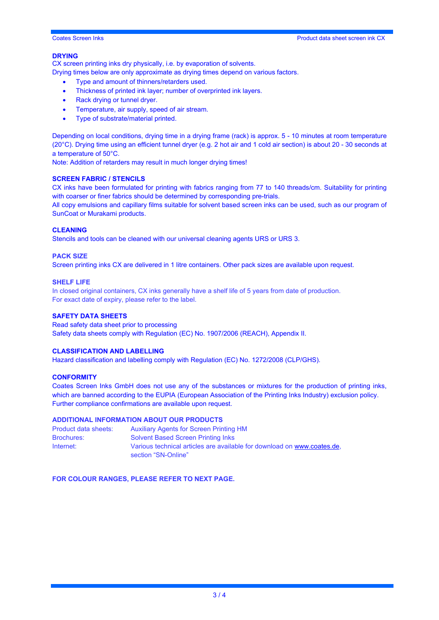#### **DRYING**

CX screen printing inks dry physically, i.e. by evaporation of solvents.

Drying times below are only approximate as drying times depend on various factors.

- Type and amount of thinners/retarders used.
- Thickness of printed ink layer; number of overprinted ink layers.
- Rack drying or tunnel dryer.
- Temperature, air supply, speed of air stream.
- Type of substrate/material printed.

Depending on local conditions, drying time in a drying frame (rack) is approx. 5 - 10 minutes at room temperature (20°C). Drying time using an efficient tunnel dryer (e.g. 2 hot air and 1 cold air section) is about 20 - 30 seconds at a temperature of 50°C.

Note: Addition of retarders may result in much longer drying times!

#### **SCREEN FABRIC / STENCILS**

CX inks have been formulated for printing with fabrics ranging from 77 to 140 threads/cm. Suitability for printing with coarser or finer fabrics should be determined by corresponding pre-trials.

All copy emulsions and capillary films suitable for solvent based screen inks can be used, such as our program of SunCoat or Murakami products.

#### **CLEANING**

Stencils and tools can be cleaned with our universal cleaning agents URS or URS 3.

#### **PACK SIZE**

Screen printing inks CX are delivered in 1 litre containers. Other pack sizes are available upon request.

#### **SHELF LIFE**

In closed original containers, CX inks generally have a shelf life of 5 years from date of production. For exact date of expiry, please refer to the label.

#### **SAFETY DATA SHEETS**

Read safety data sheet prior to processing Safety data sheets comply with Regulation (EC) No. 1907/2006 (REACH), Appendix II.

### **CLASSIFICATION AND LABELLING**

Hazard classification and labelling comply with Regulation (EC) No. 1272/2008 (CLP/GHS).

# **CONFORMITY**

Coates Screen Inks GmbH does not use any of the substances or mixtures for the production of printing inks, which are banned according to the EUPIA (European Association of the Printing Inks Industry) exclusion policy. Further compliance confirmations are available upon request.

#### **ADDITIONAL INFORMATION ABOUT OUR PRODUCTS**

| Product data sheets: | <b>Auxiliary Agents for Screen Printing HM</b>                                                 |
|----------------------|------------------------------------------------------------------------------------------------|
| <b>Brochures:</b>    | <b>Solvent Based Screen Printing Inks</b>                                                      |
| Internet:            | Various technical articles are available for download on www.coates.de.<br>section "SN-Online" |

**FOR COLOUR RANGES, PLEASE REFER TO NEXT PAGE.**